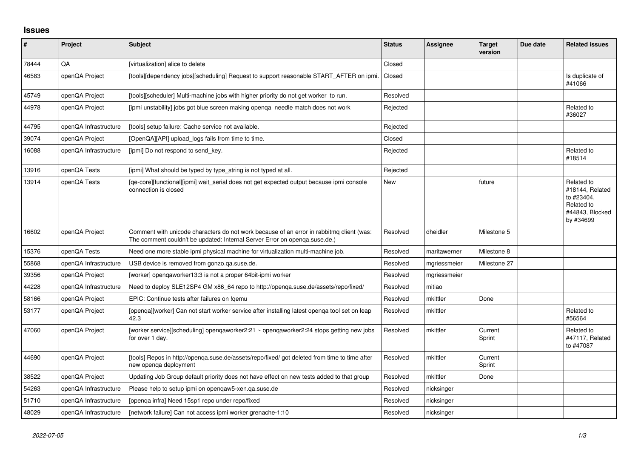## **Issues**

| ∦     | Project               | <b>Subject</b>                                                                                                                                                         | <b>Status</b> | <b>Assignee</b> | <b>Target</b><br>version | Due date | <b>Related issues</b>                                                                     |
|-------|-----------------------|------------------------------------------------------------------------------------------------------------------------------------------------------------------------|---------------|-----------------|--------------------------|----------|-------------------------------------------------------------------------------------------|
| 78444 | QA                    | [virtualization] alice to delete                                                                                                                                       | Closed        |                 |                          |          |                                                                                           |
| 46583 | openQA Project        | [tools][dependency jobs][scheduling] Request to support reasonable START_AFTER on ipmi.                                                                                | Closed        |                 |                          |          | Is duplicate of<br>#41066                                                                 |
| 45749 | openQA Project        | [tools][scheduler] Multi-machine jobs with higher priority do not get worker to run.                                                                                   | Resolved      |                 |                          |          |                                                                                           |
| 44978 | openQA Project        | [ipmi unstability] jobs got blue screen making openga needle match does not work                                                                                       | Rejected      |                 |                          |          | Related to<br>#36027                                                                      |
| 44795 | openQA Infrastructure | [tools] setup failure: Cache service not available.                                                                                                                    | Rejected      |                 |                          |          |                                                                                           |
| 39074 | openQA Project        | [OpenQA][API] upload_logs fails from time to time.                                                                                                                     | Closed        |                 |                          |          |                                                                                           |
| 16088 | openQA Infrastructure | [ipmi] Do not respond to send_key.                                                                                                                                     | Rejected      |                 |                          |          | Related to<br>#18514                                                                      |
| 13916 | openQA Tests          | [ipmi] What should be typed by type_string is not typed at all.                                                                                                        | Rejected      |                 |                          |          |                                                                                           |
| 13914 | openQA Tests          | [qe-core][functional][ipmi] wait_serial does not get expected output because ipmi console<br>connection is closed                                                      | <b>New</b>    |                 | future                   |          | Related to<br>#18144, Related<br>to #23404,<br>Related to<br>#44843, Blocked<br>by #34699 |
| 16602 | openQA Project        | Comment with unicode characters do not work because of an error in rabbitmq client (was:<br>The comment couldn't be updated: Internal Server Error on openga.suse.de.) | Resolved      | dheidler        | Milestone 5              |          |                                                                                           |
| 15376 | openQA Tests          | Need one more stable ipmi physical machine for virtualization multi-machine job.                                                                                       | Resolved      | maritawerner    | Milestone 8              |          |                                                                                           |
| 55868 | openQA Infrastructure | USB device is removed from gonzo.ga.suse.de.                                                                                                                           | Resolved      | mgriessmeier    | Milestone 27             |          |                                                                                           |
| 39356 | openQA Project        | [worker] opengaworker13:3 is not a proper 64bit-ipmi worker                                                                                                            | Resolved      | mgriessmeier    |                          |          |                                                                                           |
| 44228 | openQA Infrastructure | Need to deploy SLE12SP4 GM x86 64 repo to http://openga.suse.de/assets/repo/fixed/                                                                                     | Resolved      | mitiao          |                          |          |                                                                                           |
| 58166 | openQA Project        | EPIC: Continue tests after failures on !gemu                                                                                                                           | Resolved      | mkittler        | Done                     |          |                                                                                           |
| 53177 | openQA Project        | [openqa][worker] Can not start worker service after installing latest openqa tool set on leap<br>42.3                                                                  | Resolved      | mkittler        |                          |          | Related to<br>#56564                                                                      |
| 47060 | openQA Project        | [worker service][scheduling] openqaworker2:21 ~ openqaworker2:24 stops getting new jobs<br>for over 1 day.                                                             | Resolved      | mkittler        | Current<br>Sprint        |          | Related to<br>#47117, Related<br>to #47087                                                |
| 44690 | openQA Project        | [tools] Repos in http://openqa.suse.de/assets/repo/fixed/ got deleted from time to time after<br>new openga deployment                                                 | Resolved      | mkittler        | Current<br>Sprint        |          |                                                                                           |
| 38522 | openQA Project        | Updating Job Group default priority does not have effect on new tests added to that group                                                                              | Resolved      | mkittler        | Done                     |          |                                                                                           |
| 54263 | openQA Infrastructure | Please help to setup ipmi on openqaw5-xen.qa.suse.de                                                                                                                   | Resolved      | nicksinger      |                          |          |                                                                                           |
| 51710 | openQA Infrastructure | Jopenga infra] Need 15sp1 repo under repo/fixed                                                                                                                        | Resolved      | nicksinger      |                          |          |                                                                                           |
| 48029 | openQA Infrastructure | Inetwork failure] Can not access ipmi worker grenache-1:10                                                                                                             | Resolved      | nicksinger      |                          |          |                                                                                           |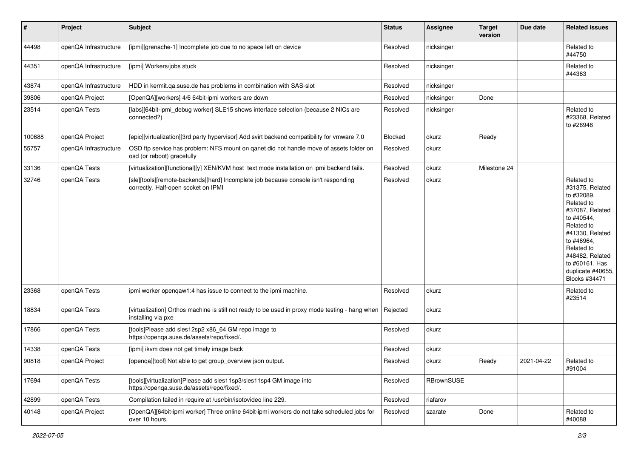| #      | Project               | <b>Subject</b>                                                                                                             | <b>Status</b>  | <b>Assignee</b> | <b>Target</b><br>version | Due date   | <b>Related issues</b>                                                                                                                                                                                                              |
|--------|-----------------------|----------------------------------------------------------------------------------------------------------------------------|----------------|-----------------|--------------------------|------------|------------------------------------------------------------------------------------------------------------------------------------------------------------------------------------------------------------------------------------|
| 44498  | openQA Infrastructure | [ipmi][grenache-1] Incomplete job due to no space left on device                                                           | Resolved       | nicksinger      |                          |            | Related to<br>#44750                                                                                                                                                                                                               |
| 44351  | openQA Infrastructure | [ipmi] Workers/jobs stuck                                                                                                  | Resolved       | nicksinger      |                          |            | Related to<br>#44363                                                                                                                                                                                                               |
| 43874  | openQA Infrastructure | HDD in kermit.qa.suse.de has problems in combination with SAS-slot                                                         | Resolved       | nicksinger      |                          |            |                                                                                                                                                                                                                                    |
| 39806  | openQA Project        | [OpenQA][workers] 4/6 64bit-ipmi workers are down                                                                          | Resolved       | nicksinger      | Done                     |            |                                                                                                                                                                                                                                    |
| 23514  | openQA Tests          | [labs][64bit-ipmi_debug worker] SLE15 shows interface selection (because 2 NICs are<br>connected?)                         | Resolved       | nicksinger      |                          |            | Related to<br>#23368, Related<br>to #26948                                                                                                                                                                                         |
| 100688 | openQA Project        | [epic][virtualization][3rd party hypervisor] Add svirt backend compatibility for vmware 7.0                                | <b>Blocked</b> | okurz           | Ready                    |            |                                                                                                                                                                                                                                    |
| 55757  | openQA Infrastructure | OSD ftp service has problem: NFS mount on ganet did not handle move of assets folder on<br>osd (or reboot) gracefully      | Resolved       | okurz           |                          |            |                                                                                                                                                                                                                                    |
| 33136  | openQA Tests          | [virtualization][functional][y] XEN/KVM host text mode installation on ipmi backend fails.                                 | Resolved       | okurz           | Milestone 24             |            |                                                                                                                                                                                                                                    |
| 32746  | openQA Tests          | [sle][tools][remote-backends][hard] Incomplete job because console isn't responding<br>correctly. Half-open socket on IPMI | Resolved       | okurz           |                          |            | Related to<br>#31375, Related<br>to #32089,<br>Related to<br>#37087, Related<br>to #40544,<br>Related to<br>#41330, Related<br>to #46964,<br>Related to<br>#48482, Related<br>to #60161, Has<br>duplicate #40655,<br>Blocks #34471 |
| 23368  | openQA Tests          | ipmi worker opengaw1:4 has issue to connect to the ipmi machine.                                                           | Resolved       | okurz           |                          |            | Related to<br>#23514                                                                                                                                                                                                               |
| 18834  | openQA Tests          | [virtualization] Orthos machine is still not ready to be used in proxy mode testing - hang when<br>installing via pxe      | Rejected       | okurz           |                          |            |                                                                                                                                                                                                                                    |
| 17866  | openQA Tests          | [tools]Please add sles12sp2 x86_64 GM repo image to<br>https://openqa.suse.de/assets/repo/fixed/.                          | Resolved       | okurz           |                          |            |                                                                                                                                                                                                                                    |
| 14338  | openQA Tests          | [ipmi] ikvm does not get timely image back                                                                                 | Resolved       | okurz           |                          |            |                                                                                                                                                                                                                                    |
| 90818  | openQA Project        | [openqa][tool] Not able to get group_overview json output.                                                                 | Resolved       | okurz           | Ready                    | 2021-04-22 | Related to<br>#91004                                                                                                                                                                                                               |
| 17694  | openQA Tests          | [tools][virtualization]Please add sles11sp3/sles11sp4 GM image into<br>https://openqa.suse.de/assets/repo/fixed/.          | Resolved       | RBrownSUSE      |                          |            |                                                                                                                                                                                                                                    |
| 42899  | openQA Tests          | Compilation failed in require at /usr/bin/isotovideo line 229.                                                             | Resolved       | riafarov        |                          |            |                                                                                                                                                                                                                                    |
| 40148  | openQA Project        | [OpenQA][64bit-ipmi worker] Three online 64bit-ipmi workers do not take scheduled jobs for<br>over 10 hours.               | Resolved       | szarate         | Done                     |            | Related to<br>#40088                                                                                                                                                                                                               |